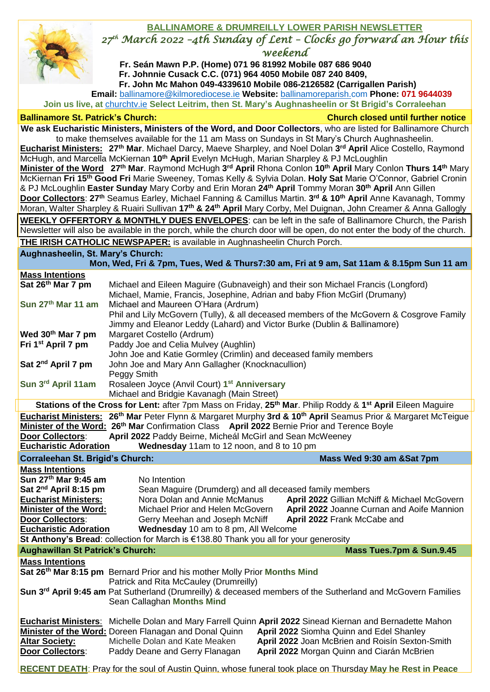## **BALLINAMORE & DRUMREILLY LOWER PARISH NEWSLETTER** *27th March 2022 –4th Sunday of Lent – Clocks go forward an Hour this weekend* **Fr. Seán Mawn P.P. (Home) 071 96 81992 Mobile 087 686 9040**  **Fr. Johnnie Cusack C.C. (071) 964 4050 Mobile 087 240 8409, Fr. John Mc Mahon 049-4339610 Mobile 086-2126582 (Carrigallen Parish) Email:** [ballinamore@kilmorediocese.ie](about:blank) **Website:** ballinamoreparish.com **Phone: 071 9644039 Join us live, at** churchtv.ie **Select Leitrim, then St. Mary's Aughnasheelin or St Brigid's Corraleehan Ballinamore St. Patrick's Church: Church closed until further notice We ask Eucharistic Ministers, Ministers of the Word, and Door Collectors**, who are listed for Ballinamore Church to make themselves available for the 11 am Mass on Sundays in St Mary's Church Aughnasheelin. **Eucharist Ministers:** 27<sup>th</sup> Mar. Michael Darcy, Maeve Sharpley, and Noel Dolan 3<sup>rd</sup> April Alice Costello, Raymond McHugh, and Marcella McKiernan **10th April** Evelyn McHugh, Marian Sharpley & PJ McLoughlin **Minister of the Word 27th Mar**. Raymond McHugh **3 rd April** Rhona Conlon **10th April** Mary Conlon **Thurs 14th** Mary McKiernan **Fri 15th Good Fri** Marie Sweeney, Tomas Kelly & Sylvia Dolan. **Holy Sat** Marie O'Connor, Gabriel Cronin & PJ McLoughlin **Easter Sunday** Mary Corby and Erin Moran **24th April** Tommy Moran **30th April** Ann Gillen **Door Collectors**: **27th** Seamus Earley, Michael Fanning & Camillus Martin. **3 rd & 10th April** Anne Kavanagh, Tommy Moran, Walter Sharpley & Ruairi Sullivan **17th & 24th April** Mary Corby, Mel Duignan, John Creamer & Anna Gallogly **WEEKLY OFFERTORY & MONTHLY DUES ENVELOPES**: can be left in the safe of Ballinamore Church, the Parish Newsletter will also be available in the porch, while the church door will be open, do not enter the body of the church. **THE IRISH CATHOLIC NEWSPAPER:** is available in Aughnasheelin Church Porch. **Aughnasheelin, St. Mary's Church: Mon, Wed, Fri & 7pm, Tues, Wed & Thurs7:30 am, Fri at 9 am, Sat 11am & 8.15pm Sun 11 am Mass Intentions Sat 26th Mar 7 pm** Michael and Eileen Maguire (Gubnaveigh) and their son Michael Francis (Longford) Michael, Mamie, Francis, Josephine, Adrian and baby Ffion McGirl (Drumany) **Sun 27th Mar 11 am** Michael and Maureen O'Hara (Ardrum) Phil and Lily McGovern (Tully), & all deceased members of the McGovern & Cosgrove Family Jimmy and Eleanor Leddy (Lahard) and Victor Burke (Dublin & Ballinamore) **Wed 30th Mar 7 pm** Margaret Costello (Ardrum) **Fri 1st April 7 pm** Paddy Joe and Celia Mulvey (Aughlin) John Joe and Katie Gormley (Crimlin) and deceased family members **Sat 2<sup>nd</sup> April 7 pm** John Joe and Mary Ann Gallagher (Knocknacullion) Peggy Smith **Sun 3rd April 11am** Rosaleen Joyce (Anvil Court) **1 st Anniversary** Michael and Bridgie Kavanagh (Main Street) **Stations of the Cross for Lent:** after 7pm Mass on Friday, **25th Mar**. Philip Roddy & **1 st April** Eileen Maguire **Eucharist Ministers: 26 th Mar** Peter Flynn & Margaret Murphy **3rd & 10th April** Seamus Prior & Margaret McTeigue **Minister of the Word: 26<sup>th</sup> Mar** Confirmation Class **April 2022** Bernie Prior and Terence Boyle **Door Collectors**: **April 2022** Paddy Beirne, Micheál McGirl and Sean McWeeney **Eucharistic Adoration Wednesday** 11am to 12 noon, and 8 to 10 pm **Corraleehan St. Brigid's Church:** Mass Wed 9:30 **am &Sat 7pm Mass Intentions Sun 27<sup>th</sup> Mar 9:45 am** No Intention<br> **Sat 2<sup>nd</sup> April 8:15 pm** Sean Maquir **Sat 2<sup>nd</sup> April 8:15 pm** Sean Maguire (Drumderg) and all deceased family members<br> **Eucharist Ministers:** Nora Dolan and Annie McManus **April 2022** Gillian McN **April 2022** Gillian McNiff & Michael McGovern **Minister of the Word:** Michael Prior and Helen McGovern **April 2022** Joanne Curnan and Aoife Mannion **Door Collectors**: Gerry Meehan and Joseph McNiff **April 2022** Frank McCabe and **Eucharistic Adoration Wednesday** 10 am to 8 pm, All Welcome **St Anthony's Bread**: collection for March is €138.80 Thank you all for your generosity **Aughawillan St Patrick's Church: Mass Tues.7pm & Sun.9.45 Mass Intentions Sat 26th Mar 8:15 pm** Bernard Prior and his mother Molly Prior **Months Mind** Patrick and Rita McCauley (Drumreilly) **Sun 3rd April 9:45 am** Pat Sutherland (Drumreilly) & deceased members of the Sutherland and McGovern Families Sean Callaghan **Months Mind Eucharist Ministers**: Michelle Dolan and Mary Farrell Quinn **April 2022** Sinead Kiernan and Bernadette Mahon **Minister of the Word:** Doreen Flanagan and Donal Quinn **April 2022** Siomha Quinn and Edel Shanley **Altar Society:** Michelle Dolan and Kate Meaken **April 2022** Joan McBrien and Roisín Sexton-Smith **Door Collectors**: Paddy Deane and Gerry Flanagan **April 2022** Morgan Quinn and Ciarán McBrien

**RECENT DEATH**: Pray for the soul of Austin Quinn, whose funeral took place on Thursday **May he Rest in Peace**